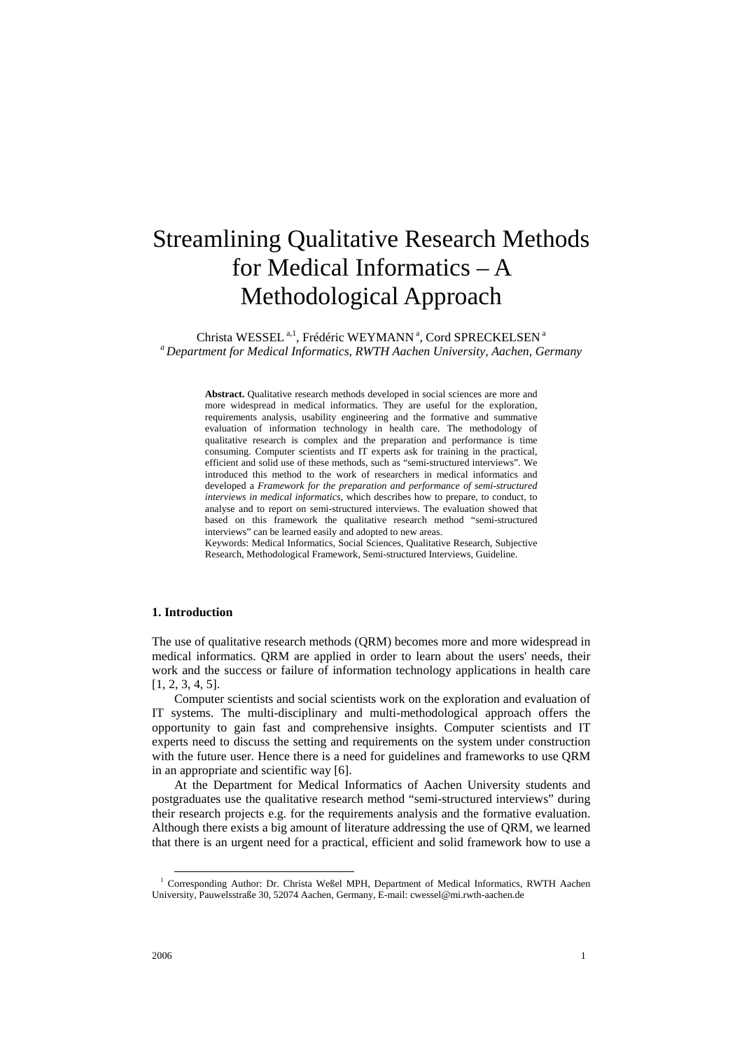# Streamlining Qualitative Research Methods for Medical Informatics – A Methodological Approach

Christa WESSEL<sup>a,1</sup>[,](#page-0-0) Frédéric WEYMANN<sup>a</sup>, Cord SPRECKELSEN<sup>a</sup> *a Department for Medical Informatics, RWTH Aachen University, Aachen, Germany*

> **Abstract.** Qualitative research methods developed in social sciences are more and more widespread in medical informatics. They are useful for the exploration, requirements analysis, usability engineering and the formative and summative evaluation of information technology in health care. The methodology of qualitative research is complex and the preparation and performance is time consuming. Computer scientists and IT experts ask for training in the practical, efficient and solid use of these methods, such as "semi-structured interviews". We introduced this method to the work of researchers in medical informatics and developed a *Framework for the preparation and performance of semi-structured interviews in medical informatics*, which describes how to prepare, to conduct, to analyse and to report on semi-structured interviews. The evaluation showed that based on this framework the qualitative research method "semi-structured interviews" can be learned easily and adopted to new areas.

> Keywords: Medical Informatics, Social Sciences, Qualitative Research, Subjective Research, Methodological Framework, Semi-structured Interviews, Guideline.

# **1. Introduction**

The use of qualitative research methods (QRM) becomes more and more widespread in medical informatics. QRM are applied in order to learn about the users' needs, their work and the success or failure of information technology applications in health care [1, 2, 3, 4, 5].

Computer scientists and social scientists work on the exploration and evaluation of IT systems. The multi-disciplinary and multi-methodological approach offers the opportunity to gain fast and comprehensive insights. Computer scientists and IT experts need to discuss the setting and requirements on the system under construction with the future user. Hence there is a need for guidelines and frameworks to use QRM in an appropriate and scientific way [6].

At the Department for Medical Informatics of Aachen University students and postgraduates use the qualitative research method "semi-structured interviews" during their research projects e.g. for the requirements analysis and the formative evaluation. Although there exists a big amount of literature addressing the use of QRM, we learned that there is an urgent need for a practical, efficient and solid framework how to use a

<span id="page-0-0"></span><sup>&</sup>lt;sup>1</sup> Corresponding Author: Dr. Christa Weßel MPH, Department of Medical Informatics, RWTH Aachen University, Pauwelsstraße 30, 52074 Aachen, Germany, E-mail: cwessel@mi.rwth-aachen.de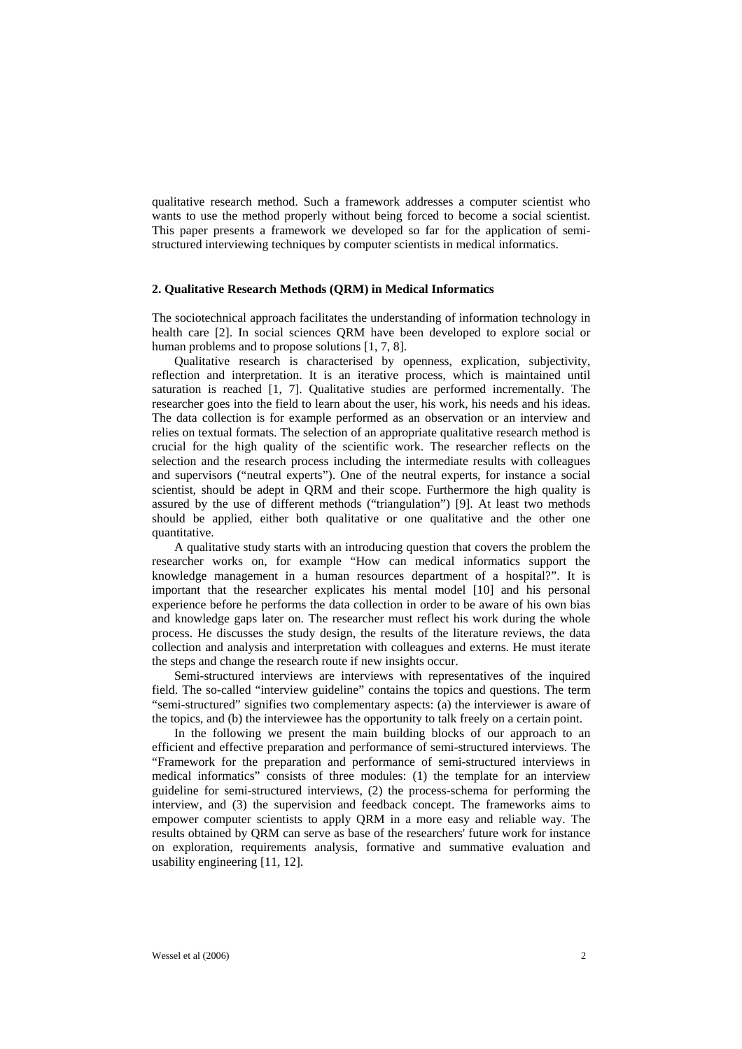qualitative research method. Such a framework addresses a computer scientist who wants to use the method properly without being forced to become a social scientist. This paper presents a framework we developed so far for the application of semistructured interviewing techniques by computer scientists in medical informatics.

#### **2. Qualitative Research Methods (QRM) in Medical Informatics**

The sociotechnical approach facilitates the understanding of information technology in health care [2]. In social sciences QRM have been developed to explore social or human problems and to propose solutions [1, 7, 8].

Qualitative research is characterised by openness, explication, subjectivity, reflection and interpretation. It is an iterative process, which is maintained until saturation is reached [1, 7]. Qualitative studies are performed incrementally. The researcher goes into the field to learn about the user, his work, his needs and his ideas. The data collection is for example performed as an observation or an interview and relies on textual formats. The selection of an appropriate qualitative research method is crucial for the high quality of the scientific work. The researcher reflects on the selection and the research process including the intermediate results with colleagues and supervisors ("neutral experts"). One of the neutral experts, for instance a social scientist, should be adept in QRM and their scope. Furthermore the high quality is assured by the use of different methods ("triangulation") [9]. At least two methods should be applied, either both qualitative or one qualitative and the other one quantitative.

A qualitative study starts with an introducing question that covers the problem the researcher works on, for example "How can medical informatics support the knowledge management in a human resources department of a hospital?". It is important that the researcher explicates his mental model [10] and his personal experience before he performs the data collection in order to be aware of his own bias and knowledge gaps later on. The researcher must reflect his work during the whole process. He discusses the study design, the results of the literature reviews, the data collection and analysis and interpretation with colleagues and externs. He must iterate the steps and change the research route if new insights occur.

Semi-structured interviews are interviews with representatives of the inquired field. The so-called "interview guideline" contains the topics and questions. The term "semi-structured" signifies two complementary aspects: (a) the interviewer is aware of the topics, and (b) the interviewee has the opportunity to talk freely on a certain point.

In the following we present the main building blocks of our approach to an efficient and effective preparation and performance of semi-structured interviews. The "Framework for the preparation and performance of semi-structured interviews in medical informatics" consists of three modules: (1) the template for an interview guideline for semi-structured interviews, (2) the process-schema for performing the interview, and (3) the supervision and feedback concept. The frameworks aims to empower computer scientists to apply QRM in a more easy and reliable way. The results obtained by QRM can serve as base of the researchers' future work for instance on exploration, requirements analysis, formative and summative evaluation and usability engineering [11, 12].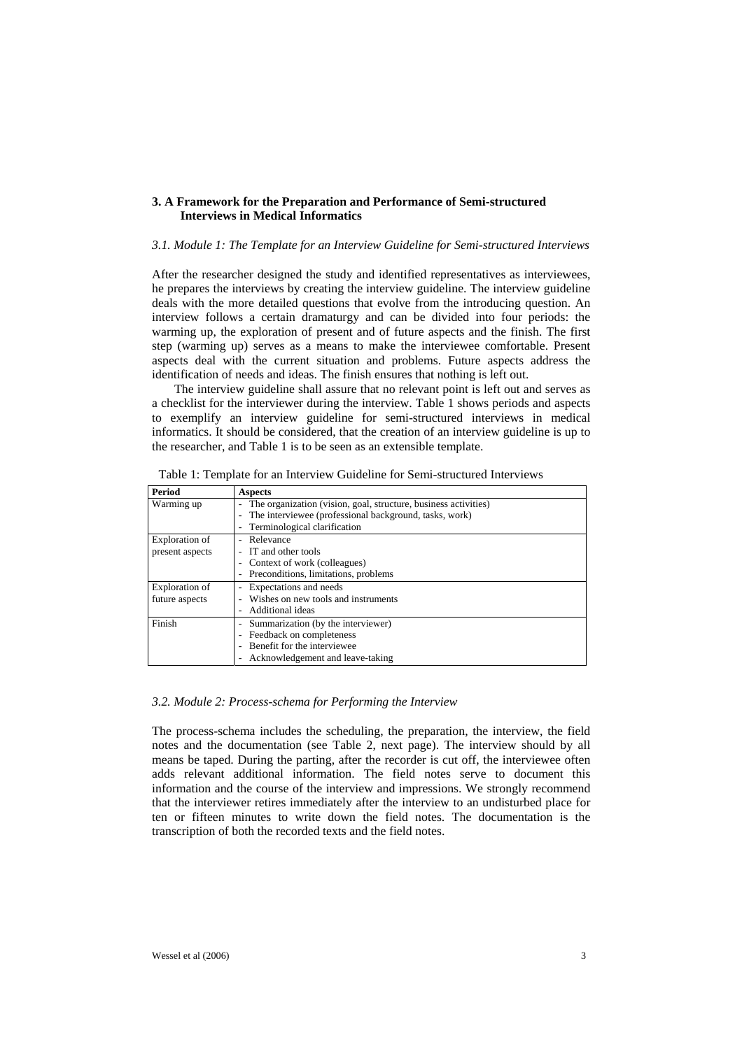# **3. A Framework for the Preparation and Performance of Semi-structured Interviews in Medical Informatics**

#### *3.1. Module 1: The Template for an Interview Guideline for Semi-structured Interviews*

After the researcher designed the study and identified representatives as interviewees, he prepares the interviews by creating the interview guideline. The interview guideline deals with the more detailed questions that evolve from the introducing question. An interview follows a certain dramaturgy and can be divided into four periods: the warming up, the exploration of present and of future aspects and the finish. The first step (warming up) serves as a means to make the interviewee comfortable. Present aspects deal with the current situation and problems. Future aspects address the identification of needs and ideas. The finish ensures that nothing is left out.

The interview guideline shall assure that no relevant point is left out and serves as a checklist for the interviewer during the interview. Table 1 shows periods and aspects to exemplify an interview guideline for semi-structured interviews in medical informatics. It should be considered, that the creation of an interview guideline is up to the researcher, and Table 1 is to be seen as an extensible template.

| <b>Period</b>   | <b>Aspects</b>                                                  |  |
|-----------------|-----------------------------------------------------------------|--|
| Warming up      | The organization (vision, goal, structure, business activities) |  |
|                 | The interviewee (professional background, tasks, work)          |  |
|                 | Terminological clarification                                    |  |
| Exploration of  | - Relevance                                                     |  |
| present aspects | - IT and other tools                                            |  |
|                 | Context of work (colleagues)                                    |  |
|                 | Preconditions, limitations, problems                            |  |
| Exploration of  | Expectations and needs                                          |  |
| future aspects  | Wishes on new tools and instruments                             |  |
|                 | Additional ideas                                                |  |
| Finish          | Summarization (by the interviewer)<br>$\overline{\phantom{0}}$  |  |
|                 | Feedback on completeness                                        |  |
|                 | - Benefit for the interviewee                                   |  |
|                 | Acknowledgement and leave-taking                                |  |

Table 1: Template for an Interview Guideline for Semi-structured Interviews

## *3.2. Module 2: Process-schema for Performing the Interview*

The process-schema includes the scheduling, the preparation, the interview, the field notes and the documentation (see Table 2, next page). The interview should by all means be taped. During the parting, after the recorder is cut off, the interviewee often adds relevant additional information. The field notes serve to document this information and the course of the interview and impressions. We strongly recommend that the interviewer retires immediately after the interview to an undisturbed place for ten or fifteen minutes to write down the field notes. The documentation is the transcription of both the recorded texts and the field notes.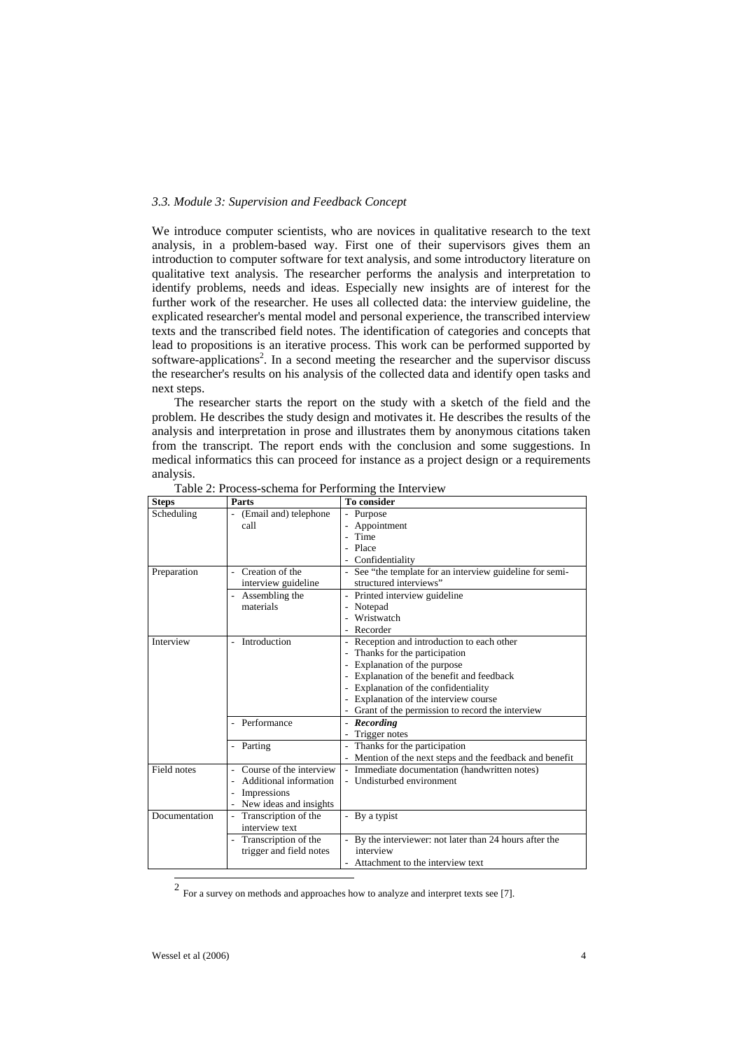#### *3.3. Module 3: Supervision and Feedback Concept*

We introduce computer scientists, who are novices in qualitative research to the text analysis, in a problem-based way. First one of their supervisors gives them an introduction to computer software for text analysis, and some introductory literature on qualitative text analysis. The researcher performs the analysis and interpretation to identify problems, needs and ideas. Especially new insights are of interest for the further work of the researcher. He uses all collected data: the interview guideline, the explicated researcher's mental model and personal experience, the transcribed interview texts and the transcribed field notes. The identification of categories and concepts that lead to propositions is an iterative process. This work can be performed supported by software-applications<sup>2</sup>. In a second meeting the researcher and the supervisor discuss the researcher's results on his analysis of the collected data and identify open tasks and next steps.

The researcher starts the report on the study with a sketch of the field and the problem. He describes the study design and motivates it. He describes the results of the analysis and interpretation in prose and illustrates them by anonymous citations taken from the transcript. The report ends with the conclusion and some suggestions. In medical informatics this can proceed for instance as a project design or a requirements analysis.

| Scheduling<br>(Email and) telephone<br>- Purpose<br>$\overline{\phantom{a}}$<br>Appointment<br>call<br>Time<br>- Place<br>- Confidentiality<br>Creation of the<br>- See "the template for an interview guideline for semi-<br>Preparation<br>structured interviews"<br>interview guideline<br>Assembling the<br>- Printed interview guideline<br>$\overline{a}$<br>materials<br>- Notepad<br>Wristwatch<br>- Recorder<br>Introduction<br>Interview<br>- Reception and introduction to each other<br>Thanks for the participation<br>Explanation of the purpose<br>- Explanation of the benefit and feedback<br>- Explanation of the confidentiality<br>- Explanation of the interview course<br>Grant of the permission to record the interview<br>Performance<br>- Recording<br>Trigger notes<br>- Thanks for the participation<br>Parting<br>$\qquad \qquad \blacksquare$<br>- Mention of the next steps and the feedback and benefit<br>Course of the interview<br>Field notes<br>- Immediate documentation (handwritten notes)<br>- Undisturbed environment<br>Additional information<br>Impressions<br>New ideas and insights<br>Transcription of the<br>Documentation<br>- By a typist<br>$\overline{a}$<br>interview text<br>- By the interviewer: not later than 24 hours after the<br>Transcription of the<br>interview<br>trigger and field notes | <b>Steps</b> | Parts | <b>To consider</b>               |
|-------------------------------------------------------------------------------------------------------------------------------------------------------------------------------------------------------------------------------------------------------------------------------------------------------------------------------------------------------------------------------------------------------------------------------------------------------------------------------------------------------------------------------------------------------------------------------------------------------------------------------------------------------------------------------------------------------------------------------------------------------------------------------------------------------------------------------------------------------------------------------------------------------------------------------------------------------------------------------------------------------------------------------------------------------------------------------------------------------------------------------------------------------------------------------------------------------------------------------------------------------------------------------------------------------------------------------------------------------------|--------------|-------|----------------------------------|
|                                                                                                                                                                                                                                                                                                                                                                                                                                                                                                                                                                                                                                                                                                                                                                                                                                                                                                                                                                                                                                                                                                                                                                                                                                                                                                                                                             |              |       |                                  |
|                                                                                                                                                                                                                                                                                                                                                                                                                                                                                                                                                                                                                                                                                                                                                                                                                                                                                                                                                                                                                                                                                                                                                                                                                                                                                                                                                             |              |       |                                  |
|                                                                                                                                                                                                                                                                                                                                                                                                                                                                                                                                                                                                                                                                                                                                                                                                                                                                                                                                                                                                                                                                                                                                                                                                                                                                                                                                                             |              |       |                                  |
|                                                                                                                                                                                                                                                                                                                                                                                                                                                                                                                                                                                                                                                                                                                                                                                                                                                                                                                                                                                                                                                                                                                                                                                                                                                                                                                                                             |              |       |                                  |
|                                                                                                                                                                                                                                                                                                                                                                                                                                                                                                                                                                                                                                                                                                                                                                                                                                                                                                                                                                                                                                                                                                                                                                                                                                                                                                                                                             |              |       |                                  |
|                                                                                                                                                                                                                                                                                                                                                                                                                                                                                                                                                                                                                                                                                                                                                                                                                                                                                                                                                                                                                                                                                                                                                                                                                                                                                                                                                             |              |       |                                  |
|                                                                                                                                                                                                                                                                                                                                                                                                                                                                                                                                                                                                                                                                                                                                                                                                                                                                                                                                                                                                                                                                                                                                                                                                                                                                                                                                                             |              |       |                                  |
|                                                                                                                                                                                                                                                                                                                                                                                                                                                                                                                                                                                                                                                                                                                                                                                                                                                                                                                                                                                                                                                                                                                                                                                                                                                                                                                                                             |              |       |                                  |
|                                                                                                                                                                                                                                                                                                                                                                                                                                                                                                                                                                                                                                                                                                                                                                                                                                                                                                                                                                                                                                                                                                                                                                                                                                                                                                                                                             |              |       |                                  |
|                                                                                                                                                                                                                                                                                                                                                                                                                                                                                                                                                                                                                                                                                                                                                                                                                                                                                                                                                                                                                                                                                                                                                                                                                                                                                                                                                             |              |       |                                  |
|                                                                                                                                                                                                                                                                                                                                                                                                                                                                                                                                                                                                                                                                                                                                                                                                                                                                                                                                                                                                                                                                                                                                                                                                                                                                                                                                                             |              |       |                                  |
|                                                                                                                                                                                                                                                                                                                                                                                                                                                                                                                                                                                                                                                                                                                                                                                                                                                                                                                                                                                                                                                                                                                                                                                                                                                                                                                                                             |              |       |                                  |
|                                                                                                                                                                                                                                                                                                                                                                                                                                                                                                                                                                                                                                                                                                                                                                                                                                                                                                                                                                                                                                                                                                                                                                                                                                                                                                                                                             |              |       |                                  |
|                                                                                                                                                                                                                                                                                                                                                                                                                                                                                                                                                                                                                                                                                                                                                                                                                                                                                                                                                                                                                                                                                                                                                                                                                                                                                                                                                             |              |       |                                  |
|                                                                                                                                                                                                                                                                                                                                                                                                                                                                                                                                                                                                                                                                                                                                                                                                                                                                                                                                                                                                                                                                                                                                                                                                                                                                                                                                                             |              |       |                                  |
|                                                                                                                                                                                                                                                                                                                                                                                                                                                                                                                                                                                                                                                                                                                                                                                                                                                                                                                                                                                                                                                                                                                                                                                                                                                                                                                                                             |              |       |                                  |
|                                                                                                                                                                                                                                                                                                                                                                                                                                                                                                                                                                                                                                                                                                                                                                                                                                                                                                                                                                                                                                                                                                                                                                                                                                                                                                                                                             |              |       |                                  |
|                                                                                                                                                                                                                                                                                                                                                                                                                                                                                                                                                                                                                                                                                                                                                                                                                                                                                                                                                                                                                                                                                                                                                                                                                                                                                                                                                             |              |       |                                  |
|                                                                                                                                                                                                                                                                                                                                                                                                                                                                                                                                                                                                                                                                                                                                                                                                                                                                                                                                                                                                                                                                                                                                                                                                                                                                                                                                                             |              |       |                                  |
|                                                                                                                                                                                                                                                                                                                                                                                                                                                                                                                                                                                                                                                                                                                                                                                                                                                                                                                                                                                                                                                                                                                                                                                                                                                                                                                                                             |              |       |                                  |
|                                                                                                                                                                                                                                                                                                                                                                                                                                                                                                                                                                                                                                                                                                                                                                                                                                                                                                                                                                                                                                                                                                                                                                                                                                                                                                                                                             |              |       |                                  |
|                                                                                                                                                                                                                                                                                                                                                                                                                                                                                                                                                                                                                                                                                                                                                                                                                                                                                                                                                                                                                                                                                                                                                                                                                                                                                                                                                             |              |       |                                  |
|                                                                                                                                                                                                                                                                                                                                                                                                                                                                                                                                                                                                                                                                                                                                                                                                                                                                                                                                                                                                                                                                                                                                                                                                                                                                                                                                                             |              |       |                                  |
|                                                                                                                                                                                                                                                                                                                                                                                                                                                                                                                                                                                                                                                                                                                                                                                                                                                                                                                                                                                                                                                                                                                                                                                                                                                                                                                                                             |              |       |                                  |
|                                                                                                                                                                                                                                                                                                                                                                                                                                                                                                                                                                                                                                                                                                                                                                                                                                                                                                                                                                                                                                                                                                                                                                                                                                                                                                                                                             |              |       |                                  |
|                                                                                                                                                                                                                                                                                                                                                                                                                                                                                                                                                                                                                                                                                                                                                                                                                                                                                                                                                                                                                                                                                                                                                                                                                                                                                                                                                             |              |       |                                  |
|                                                                                                                                                                                                                                                                                                                                                                                                                                                                                                                                                                                                                                                                                                                                                                                                                                                                                                                                                                                                                                                                                                                                                                                                                                                                                                                                                             |              |       |                                  |
|                                                                                                                                                                                                                                                                                                                                                                                                                                                                                                                                                                                                                                                                                                                                                                                                                                                                                                                                                                                                                                                                                                                                                                                                                                                                                                                                                             |              |       |                                  |
|                                                                                                                                                                                                                                                                                                                                                                                                                                                                                                                                                                                                                                                                                                                                                                                                                                                                                                                                                                                                                                                                                                                                                                                                                                                                                                                                                             |              |       |                                  |
|                                                                                                                                                                                                                                                                                                                                                                                                                                                                                                                                                                                                                                                                                                                                                                                                                                                                                                                                                                                                                                                                                                                                                                                                                                                                                                                                                             |              |       |                                  |
|                                                                                                                                                                                                                                                                                                                                                                                                                                                                                                                                                                                                                                                                                                                                                                                                                                                                                                                                                                                                                                                                                                                                                                                                                                                                                                                                                             |              |       | Attachment to the interview text |

Table 2: Process-schema for Performing the Interview

<span id="page-3-0"></span> <sup>2</sup> For a survey on methods and approaches how to analyze and interpret texts see [7].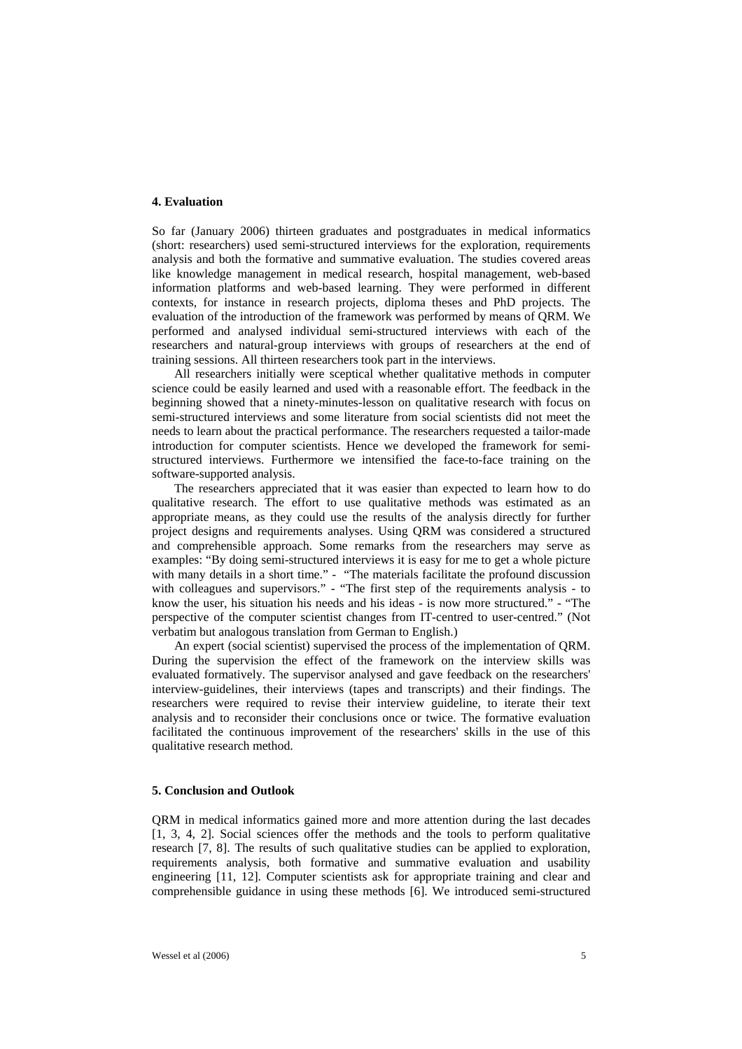## **4. Evaluation**

So far (January 2006) thirteen graduates and postgraduates in medical informatics (short: researchers) used semi-structured interviews for the exploration, requirements analysis and both the formative and summative evaluation. The studies covered areas like knowledge management in medical research, hospital management, web-based information platforms and web-based learning. They were performed in different contexts, for instance in research projects, diploma theses and PhD projects. The evaluation of the introduction of the framework was performed by means of QRM. We performed and analysed individual semi-structured interviews with each of the researchers and natural-group interviews with groups of researchers at the end of training sessions. All thirteen researchers took part in the interviews.

All researchers initially were sceptical whether qualitative methods in computer science could be easily learned and used with a reasonable effort. The feedback in the beginning showed that a ninety-minutes-lesson on qualitative research with focus on semi-structured interviews and some literature from social scientists did not meet the needs to learn about the practical performance. The researchers requested a tailor-made introduction for computer scientists. Hence we developed the framework for semistructured interviews. Furthermore we intensified the face-to-face training on the software-supported analysis.

The researchers appreciated that it was easier than expected to learn how to do qualitative research. The effort to use qualitative methods was estimated as an appropriate means, as they could use the results of the analysis directly for further project designs and requirements analyses. Using QRM was considered a structured and comprehensible approach. Some remarks from the researchers may serve as examples: "By doing semi-structured interviews it is easy for me to get a whole picture with many details in a short time." - "The materials facilitate the profound discussion with colleagues and supervisors." - "The first step of the requirements analysis - to know the user, his situation his needs and his ideas - is now more structured." - "The perspective of the computer scientist changes from IT-centred to user-centred." (Not verbatim but analogous translation from German to English.)

An expert (social scientist) supervised the process of the implementation of QRM. During the supervision the effect of the framework on the interview skills was evaluated formatively. The supervisor analysed and gave feedback on the researchers' interview-guidelines, their interviews (tapes and transcripts) and their findings. The researchers were required to revise their interview guideline, to iterate their text analysis and to reconsider their conclusions once or twice. The formative evaluation facilitated the continuous improvement of the researchers' skills in the use of this qualitative research method.

## **5. Conclusion and Outlook**

QRM in medical informatics gained more and more attention during the last decades [1, 3, 4, 2]. Social sciences offer the methods and the tools to perform qualitative research [7, 8]. The results of such qualitative studies can be applied to exploration, requirements analysis, both formative and summative evaluation and usability engineering [11, 12]. Computer scientists ask for appropriate training and clear and comprehensible guidance in using these methods [6]. We introduced semi-structured